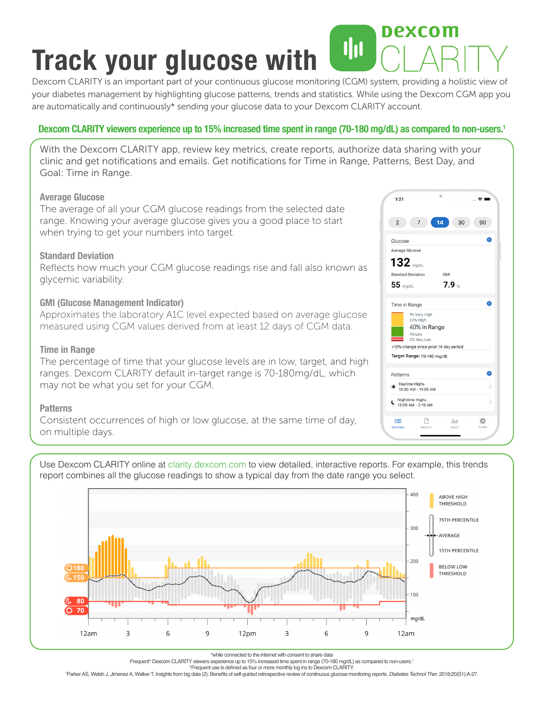### nexcom **Track your glucose with**

Dexcom CLARITY is an important part of your continuous glucose monitoring (CGM) system, providing a holistic view of your diabetes management by highlighting glucose patterns, trends and statistics. While using the Dexcom CGM app you are automatically and continuously\* sending your glucose data to your Dexcom CLARITY account.

#### **Dexcom CLARITY viewers experience up to 15% increased time spent in range (70-180 mg/dL) as compared to non-users.1**

With the Dexcom CLARITY app, review key metrics, create reports, authorize data sharing with your clinic and get notifications and emails. Get notifications for Time in Range, Patterns, Best Day, and Goal: Time in Range.

#### **Average Glucose**

The average of all your CGM glucose readings from the selected date range. Knowing your average glucose gives you a good place to start when trying to get your numbers into target.

#### **Standard Deviation**

Reflects how much your CGM glucose readings rise and fall also known as glycemic variability.

#### **GMI (Glucose Management Indicator)**

Approximates the laboratory A1C level expected based on average glucose measured using CGM values derived from at least 12 days of CGM data.

#### **Time in Range**

The percentage of time that your glucose levels are in low, target, and high ranges. Dexcom CLARITY default in-target range is 70-180mg/dL, which may not be what you set for your CGM.

#### **Patterns**

Consistent occurrences of high or low glucose, at the same time of day, on multiple days.



Use Dexcom CLARITY online at clarity.dexcom.com to view detailed, interactive reports. For example, this trends report combines all the glucose readings to show a typical day from the date range you select.



\*while connected to the internet with consent to share data

Frequent\* Dexcom CLARITY viewers experience up to 15% increased time spent in range (70-180 mg/dL) as compared to non-users.1

\*Frequent use is defined as four or more monthly log ins to Dexcom CLARITY. 1 Parker AS, Welsh J, Jimenez A, Walker T. Insights from big data (2): Benefits of self-guided retrospective review of continuous glucose monitoring reports. *Diabetes Technol Ther*. 2018;20(S1):A-27.